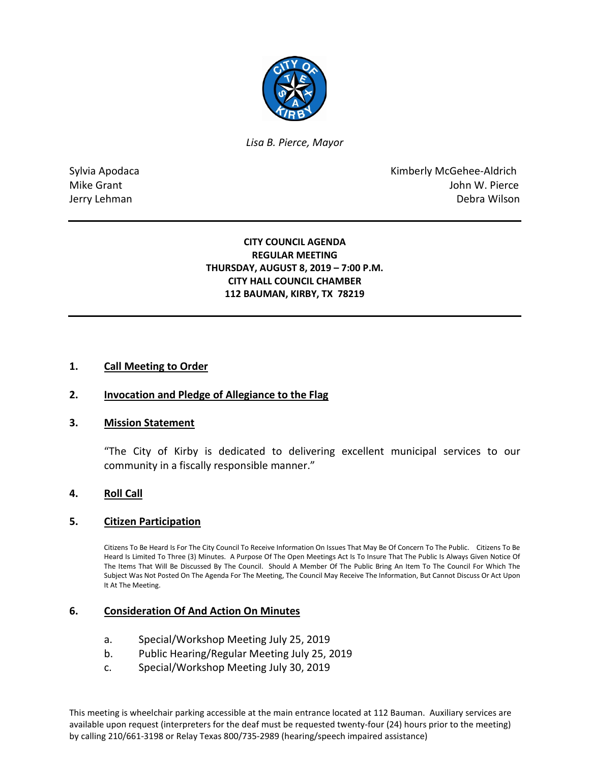

*Lisa B. Pierce, Mayor* 

Sylvia Apodaca **Kimberly McGehee-Aldrich** Mike Grant **Mike Grant** John W. Pierce Jerry Lehman Debra Wilson

### **CITY COUNCIL AGENDA REGULAR MEETING THURSDAY, AUGUST 8, 2019 – 7:00 P.M. CITY HALL COUNCIL CHAMBER 112 BAUMAN, KIRBY, TX 78219**

## **1. Call Meeting to Order**

### **2. Invocation and Pledge of Allegiance to the Flag**

### **3. Mission Statement**

"The City of Kirby is dedicated to delivering excellent municipal services to our community in a fiscally responsible manner."

### **4. Roll Call**

### **5. Citizen Participation**

Citizens To Be Heard Is For The City Council To Receive Information On Issues That May Be Of Concern To The Public. Citizens To Be Heard Is Limited To Three (3) Minutes. A Purpose Of The Open Meetings Act Is To Insure That The Public Is Always Given Notice Of The Items That Will Be Discussed By The Council. Should A Member Of The Public Bring An Item To The Council For Which The Subject Was Not Posted On The Agenda For The Meeting, The Council May Receive The Information, But Cannot Discuss Or Act Upon It At The Meeting.

### **6. Consideration Of And Action On Minutes**

- a. Special/Workshop Meeting July 25, 2019
- b. Public Hearing/Regular Meeting July 25, 2019
- c. Special/Workshop Meeting July 30, 2019

This meeting is wheelchair parking accessible at the main entrance located at 112 Bauman. Auxiliary services are available upon request (interpreters for the deaf must be requested twenty-four (24) hours prior to the meeting) by calling 210/661-3198 or Relay Texas 800/735-2989 (hearing/speech impaired assistance)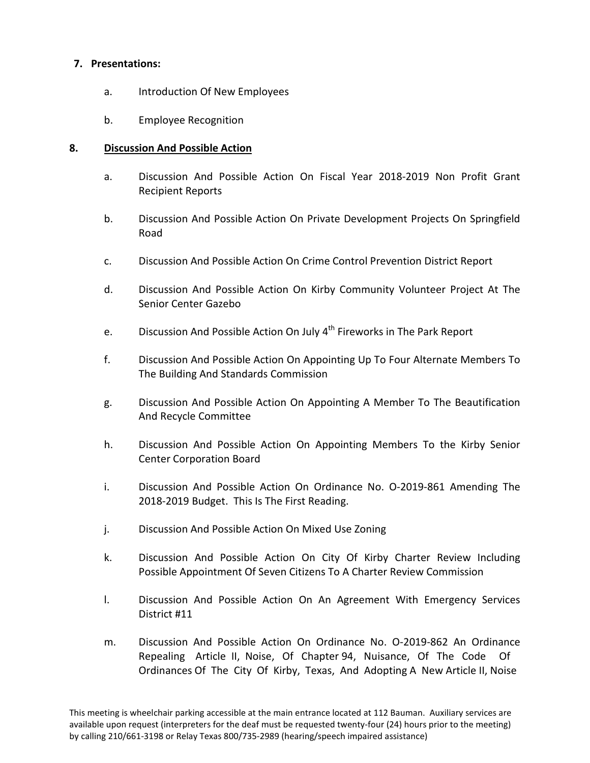## **7. Presentations:**

- a. Introduction Of New Employees
- b. Employee Recognition

# **8. Discussion And Possible Action**

- a. Discussion And Possible Action On Fiscal Year 2018-2019 Non Profit Grant Recipient Reports
- b. Discussion And Possible Action On Private Development Projects On Springfield Road
- c. Discussion And Possible Action On Crime Control Prevention District Report
- d. Discussion And Possible Action On Kirby Community Volunteer Project At The Senior Center Gazebo
- e. Discussion And Possible Action On July 4<sup>th</sup> Fireworks in The Park Report
- f. Discussion And Possible Action On Appointing Up To Four Alternate Members To The Building And Standards Commission
- g. Discussion And Possible Action On Appointing A Member To The Beautification And Recycle Committee
- h. Discussion And Possible Action On Appointing Members To the Kirby Senior Center Corporation Board
- i. Discussion And Possible Action On Ordinance No. O-2019-861 Amending The 2018-2019 Budget. This Is The First Reading.
- j. Discussion And Possible Action On Mixed Use Zoning
- k. Discussion And Possible Action On City Of Kirby Charter Review Including Possible Appointment Of Seven Citizens To A Charter Review Commission
- l. Discussion And Possible Action On An Agreement With Emergency Services District #11
- m. Discussion And Possible Action On Ordinance No. O-2019-862 An Ordinance Repealing Article II, Noise, Of Chapter 94, Nuisance, Of The Code Of Ordinances Of The City Of Kirby, Texas, And Adopting A New Article II, Noise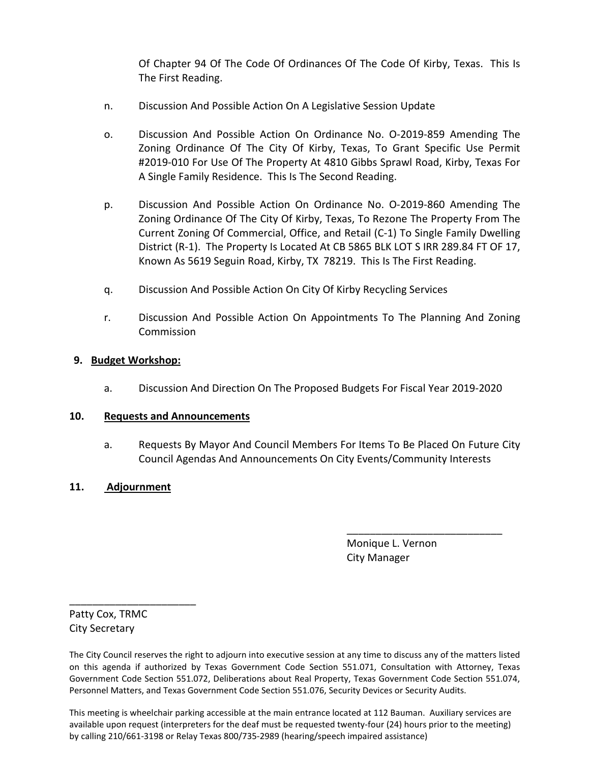Of Chapter 94 Of The Code Of Ordinances Of The Code Of Kirby, Texas. This Is The First Reading.

- n. Discussion And Possible Action On A Legislative Session Update
- o. Discussion And Possible Action On Ordinance No. O-2019-859 Amending The Zoning Ordinance Of The City Of Kirby, Texas, To Grant Specific Use Permit #2019-010 For Use Of The Property At 4810 Gibbs Sprawl Road, Kirby, Texas For A Single Family Residence. This Is The Second Reading.
- p. Discussion And Possible Action On Ordinance No. O-2019-860 Amending The Zoning Ordinance Of The City Of Kirby, Texas, To Rezone The Property From The Current Zoning Of Commercial, Office, and Retail (C-1) To Single Family Dwelling District (R-1). The Property Is Located At CB 5865 BLK LOT S IRR 289.84 FT OF 17, Known As 5619 Seguin Road, Kirby, TX 78219. This Is The First Reading.
- q. Discussion And Possible Action On City Of Kirby Recycling Services
- r. Discussion And Possible Action On Appointments To The Planning And Zoning Commission

### **9. Budget Workshop:**

a. Discussion And Direction On The Proposed Budgets For Fiscal Year 2019-2020

### **10. Requests and Announcements**

a. Requests By Mayor And Council Members For Items To Be Placed On Future City Council Agendas And Announcements On City Events/Community Interests

\_\_\_\_\_\_\_\_\_\_\_\_\_\_\_\_\_\_\_\_\_\_\_\_\_\_\_

## **11. Adjournment**

 Monique L. Vernon City Manager

Patty Cox, TRMC City Secretary

\_\_\_\_\_\_\_\_\_\_\_\_\_\_\_\_\_\_\_\_\_\_

This meeting is wheelchair parking accessible at the main entrance located at 112 Bauman. Auxiliary services are available upon request (interpreters for the deaf must be requested twenty-four (24) hours prior to the meeting) by calling 210/661-3198 or Relay Texas 800/735-2989 (hearing/speech impaired assistance)

The City Council reserves the right to adjourn into executive session at any time to discuss any of the matters listed on this agenda if authorized by Texas Government Code Section 551.071, Consultation with Attorney, Texas Government Code Section 551.072, Deliberations about Real Property, Texas Government Code Section 551.074, Personnel Matters, and Texas Government Code Section 551.076, Security Devices or Security Audits.